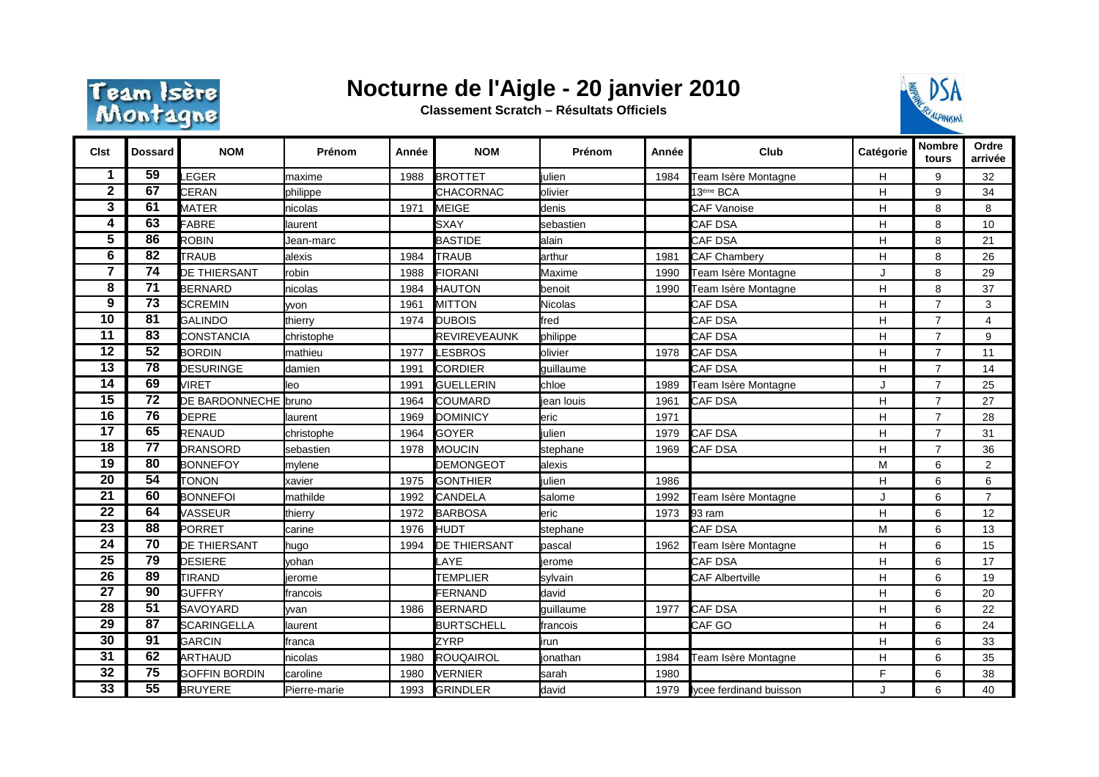

## **Nocturne de l'Aigle - 20 janvier 2010**

**Classement Scratch – Résultats Officiels**



| <b>Clst</b>     | <b>Dossard</b>  | <b>NOM</b>           | Prénom       | Année | <b>NOM</b>          | Prénom    | Année | Club                       | Catégorie      | <b>Nombre</b><br>tours | Ordre<br>arrivée |
|-----------------|-----------------|----------------------|--------------|-------|---------------------|-----------|-------|----------------------------|----------------|------------------------|------------------|
|                 | $\overline{59}$ | EGER.                | maxime       | 1988  | <b>BROTTET</b>      | iulien    | 1984  | <b>Team Isère Montagne</b> | Н              | 9                      | 32               |
| $\mathbf 2$     | 67              | <b>CERAN</b>         | philippe     |       | CHACORNAC           | olivier   |       | 13 <sup>éme</sup> BCA      | H              | 9                      | 34               |
| 3               | 61              | <b>MATER</b>         | nicolas      | 1971  | <b>MEIGE</b>        | denis     |       | <b>CAF Vanoise</b>         | H              | 8                      | 8                |
| 4               | 63              | <b>FABRE</b>         | laurent      |       | <b>SXAY</b>         | sebastien |       | <b>CAF DSA</b>             | H              | 8                      | 10               |
| 5               | 86              | <b>ROBIN</b>         | Jean-marc    |       | <b>BASTIDE</b>      | alain     |       | CAF DSA                    | Η              | 8                      | 21               |
| 6               | 82              | <b>TRAUB</b>         | alexis       | 1984  | <b>TRAUB</b>        | larthur   | 1981  | <b>CAF Chambery</b>        | H              | 8                      | 26               |
| 7               | 74              | DE THIERSANT         | robin        | 1988  | <b>FIORANI</b>      | Maxime    | 1990  | <b>Feam Isère Montagne</b> | J              | 8                      | 29               |
| 8               | $\overline{71}$ | <b>BERNARD</b>       | nicolas      | 1984  | <b>HAUTON</b>       | benoit    | 1990  | <b>Feam Isère Montagne</b> | H              | 8                      | 37               |
| 9               | $\overline{73}$ | <b>SCREMIN</b>       | <b>vvon</b>  | 1961  | <b>MITTON</b>       | Nicolas   |       | <b>CAF DSA</b>             | H              | $\overline{7}$         | 3                |
| 10              | 81              | <b>GALINDO</b>       | thierry      | 1974  | <b>DUBOIS</b>       | fred      |       | CAF DSA                    | H              | $\overline{7}$         | $\overline{4}$   |
| 11              | 83              | CONSTANCIA           | christophe   |       | <b>REVIREVEAUNK</b> | philippe  |       | CAF DSA                    | $\mathsf{H}$   | $\overline{7}$         | 9                |
| $\overline{12}$ | 52              | <b>BORDIN</b>        | mathieu      | 1977  | <b>ESBROS</b>       | olivier   | 1978  | <b>CAF DSA</b>             | H              | $\overline{7}$         | 11               |
| $\overline{13}$ | $\overline{78}$ | <b>DESURINGE</b>     | damien       | 1991  | <b>CORDIER</b>      | guillaume |       | CAF DSA                    | H              | $\overline{7}$         | 14               |
| $\overline{14}$ | 69              | <b>VIRET</b>         | leo          | 1991  | <b>GUELLERIN</b>    | chloe     | 1989  | <b>Team Isère Montagne</b> | J              | $\overline{7}$         | 25               |
| $\overline{15}$ | $\overline{72}$ | DE BARDONNECHE       | bruno        | 1964  | <b>COUMARD</b>      | ean louis | 1961  | <b>CAF DSA</b>             | H              | $\overline{7}$         | 27               |
| $\overline{16}$ | $\overline{76}$ | <b>DEPRE</b>         | laurent      | 1969  | <b>DOMINICY</b>     | eric      | 1971  |                            | H              | $\overline{7}$         | 28               |
| $\overline{17}$ | 65              | <b>RENAUD</b>        | christophe   | 1964  | <b>GOYER</b>        | iulien    | 1979  | CAF DSA                    | H              | $\overline{7}$         | 31               |
| $\overline{18}$ | $\overline{77}$ | <b>DRANSORD</b>      | sebastien    | 1978  | <b>MOUCIN</b>       | stephane  | 1969  | CAF DSA                    | $\overline{H}$ | $\overline{7}$         | 36               |
| $\overline{19}$ | 80              | <b>BONNEFOY</b>      | mylene       |       | <b>DEMONGEOT</b>    | alexis    |       |                            | M              | 6                      | 2                |
| $\overline{20}$ | $\overline{54}$ | <b>TONON</b>         | xavier       | 1975  | <b>GONTHIER</b>     | julien    | 1986  |                            | Н              | 6                      | 6                |
| 21              | 60              | <b>BONNEFOI</b>      | mathilde     | 1992  | CANDELA             | salome    | 1992  | Team Isère Montagne        | J              | 6                      | $\overline{7}$   |
| $\overline{22}$ | 64              | VASSEUR              | thierry      | 1972  | <b>BARBOSA</b>      | leric     | 1973  | 93 ram                     | H              | 6                      | 12               |
| 23              | 88              | PORRET               | carine       | 1976  | <b>HUDT</b>         | stephane  |       | CAF DSA                    | M              | 6                      | 13               |
| $\overline{24}$ | $\overline{70}$ | <b>DE THIERSANT</b>  | hugo         | 1994  | <b>DE THIERSANT</b> | pascal    | 1962  | Team Isère Montagne        | Η              | 6                      | 15               |
| $\overline{25}$ | $\overline{79}$ | <b>DESIERE</b>       | vohan        |       | <b>AYE</b>          | erome     |       | CAF DSA                    | H              | 6                      | 17               |
| $\overline{26}$ | 89              | <b>TIRAND</b>        | jerome       |       | <b>TEMPLIER</b>     | sylvain   |       | <b>CAF Albertville</b>     | H              | 6                      | 19               |
| $\overline{27}$ | $\overline{90}$ | <b>GUFFRY</b>        | francois     |       | <b>FERNAND</b>      | david     |       |                            | H              | 6                      | 20               |
| $\overline{28}$ | $\overline{51}$ | <b>SAVOYARD</b>      | wan          | 1986  | <b>BERNARD</b>      | guillaume | 1977  | CAF DSA                    | H              | 6                      | 22               |
| $\overline{29}$ | $\overline{87}$ | <b>SCARINGELLA</b>   | laurent      |       | <b>BURTSCHELL</b>   | francois  |       | CAF <sub>GO</sub>          | H              | 6                      | 24               |
| $\overline{30}$ | 91              | GARCIN               | franca       |       | <b>ZYRP</b>         | lirun     |       |                            | H              | 6                      | 33               |
| $\overline{31}$ | 62              | <b>ARTHAUD</b>       | nicolas      | 1980  | <b>ROUQAIROL</b>    | ionathan  | 1984  | <b>Team Isère Montagne</b> | $\mathsf H$    | 6                      | 35               |
| $\overline{32}$ | $\overline{75}$ | <b>GOFFIN BORDIN</b> | caroline     | 1980  | <b>VERNIER</b>      | sarah     | 1980  |                            | F              | 6                      | 38               |
| 33              | 55              | <b>BRUYERE</b>       | Pierre-marie | 1993  | <b>GRINDLER</b>     | david     | 1979  | Iycee ferdinand buisson    |                | 6                      | 40               |